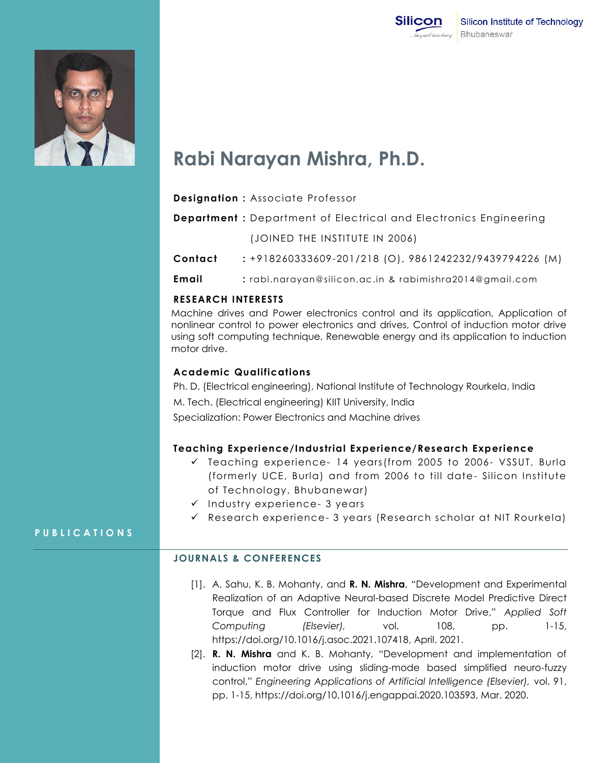



# **Rabi Narayan Mishra, Ph.D.**

| <b>Designation:</b> Associate Professor |  |  |  |
|-----------------------------------------|--|--|--|
|-----------------------------------------|--|--|--|

**Department :** Department of Electrical and Electronics Engineering

(JOINED THE INSTITUTE IN 2006)

**Contact :** +918260333609-201/218 (O), 9861242232/9439794226 (M)

**Email :** rabi.narayan@silicon.ac.in & rabimishra2014@gmail.com

#### **RESEARCH INTERESTS**

Machine drives and Power electronics control and its application, Application of nonlinear control to power electronics and drives, Control of induction motor drive using soft computing technique, Renewable energy and its application to induction motor drive.

#### **Academic Qualifications**

Ph. D. (Electrical engineering), National Institute of Technology Rourkela, India M. Tech. (Electrical engineering) KIIT University, India Specialization: Power Electronics and Machine drives

# **Teaching Experience/Industrial Experience/Research Experience**

- $\checkmark$  Teaching experience- 14 years(from 2005 to 2006- VSSUT, Burla (formerly UCE, Burla) and from 2006 to till date- Silicon Institute of Technology, Bhubanewar)
- $\checkmark$  Industry experience- 3 years
- $\checkmark$  Research experience- 3 years (Research scholar at NIT Rourkela)

# **P U B L I C A T I O N S**

# **JOURNALS & CONFERENCES**

- [1]. A. Sahu, K. B. Mohanty, and **R. N. Mishra**, "Development and Experimental Realization of an Adaptive Neural-based Discrete Model Predictive Direct Torque and Flux Controller for Induction Motor Drive," *Applied Soft Computing (Elsevier),* vol. 108, pp. 1-15, [https://doi.org/10.1016/j.asoc.2021.107418,](https://doi.org/10.1016/j.asoc.2021.107418) April. 2021.
- [2]. **R. N. Mishra** and K. B. Mohanty, "Development and implementation of induction motor drive using sliding-mode based simplified neuro-fuzzy control," *Engineering Applications of Artificial Intelligence (Elsevier),* vol. 91, pp. 1-15, https://doi.org/10.1016/j.engappai.2020.103593, Mar. 2020.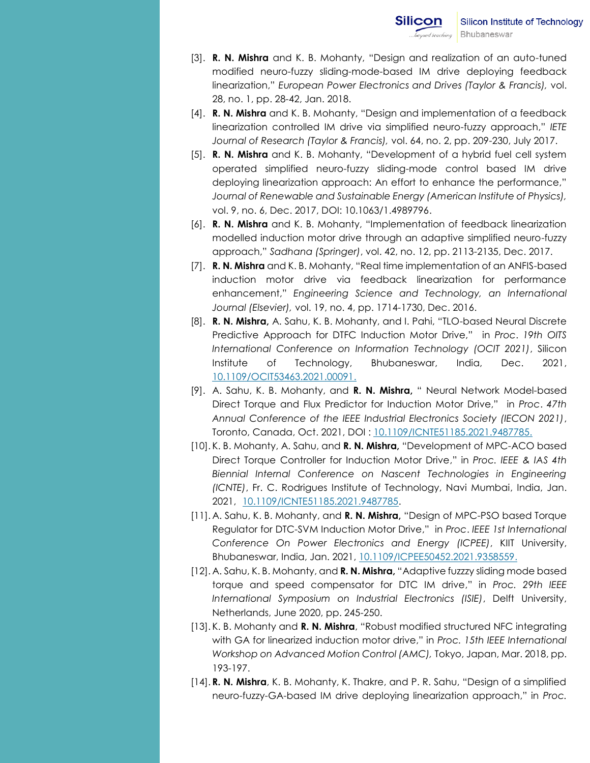- [3]. **R. N. Mishra** and K. B. Mohanty, "Design and realization of an auto-tuned modified neuro-fuzzy sliding-mode-based IM drive deploying feedback linearization," *European Power Electronics and Drives (Taylor & Francis),* vol. 28, no. 1, pp. 28-42, Jan. 2018.
- [4]. **R. N. Mishra** and K. B. Mohanty, "Design and implementation of a feedback linearization controlled IM drive via simplified neuro-fuzzy approach," *IETE Journal of Research (Taylor & Francis),* vol. 64, no. 2, pp. 209-230, July 2017.
- [5]. **R. N. Mishra** and K. B. Mohanty, "Development of a hybrid fuel cell system operated simplified neuro-fuzzy sliding-mode control based IM drive deploying linearization approach: An effort to enhance the performance," Journal of Renewable and Sustainable Energy (American Institute of Physics), vol. 9, no. 6, Dec. 2017, DOI: 10.1063/1.4989796.
- [6]. **R. N. Mishra** and K. B. Mohanty, "Implementation of feedback linearization modelled induction motor drive through an adaptive simplified neuro-fuzzy approach," *Sadhana (Springer)*, vol. 42, no. 12, pp. 2113-2135, Dec. 2017.
- [7]. **R. N. Mishra** and K. B. Mohanty, "Real time implementation of an ANFIS-based induction motor drive via feedback linearization for performance enhancement," *Engineering Science and Technology, an International Journal (Elsevier),* vol. 19, no. 4, pp. 1714-1730, Dec. 2016.
- [8]. **R. N. Mishra,** A. Sahu, K. B. Mohanty, and I. Pahi, "TLO-based Neural Discrete Predictive Approach for DTFC Induction Motor Drive," in *Proc*. *19th OITS International Conference on Information Technology (OCIT 2021)*, Silicon Institute of Technology, Bhubaneswar, India, Dec. 2021, [10.1109/OCIT53463.2021.00091.](https://doi.org/10.1109/OCIT53463.2021.00091)
- [9]. A. Sahu, K. B. Mohanty, and **R. N. Mishra,** " Neural Network Model-based Direct Torque and Flux Predictor for Induction Motor Drive," in *Proc*. *47th Annual Conference of the IEEE Industrial Electronics Society (IECON 2021)*, Toronto, Canada, Oct. 2021, DOI : 10.1109/ICNTE51185.2021.9487785.
- [10]. K. B. Mohanty, A. Sahu, and **R. N. Mishra,** "Development of MPC-ACO based Direct Torque Controller for Induction Motor Drive," in *Proc. IEEE & IAS 4th Biennial Internal Conference on Nascent Technologies in Engineering (ICNTE)*, Fr. C. Rodrigues Institute of Technology, Navi Mumbai, India, Jan. 2021, [10.1109/ICNTE51185.2021.9487785.](https://doi.org/10.1109/ICNTE51185.2021.9487785)
- [11]. A. Sahu, K. B. Mohanty, and **R. N. Mishra,** "Design of MPC-PSO based Torque Regulator for DTC-SVM Induction Motor Drive," in *Proc*. *IEEE 1st International Conference On Power Electronics and Energy (ICPEE)*, KIIT University, Bhubaneswar, India, Jan. 2021, [10.1109/ICPEE50452.2021.9358559.](https://doi.org/10.1109/ICPEE50452.2021.9358559)
- [12]. A. Sahu, K. B. Mohanty, and **R. N. Mishra,** "Adaptive fuzzzy sliding mode based torque and speed compensator for DTC IM drive," in *Proc. 29th IEEE International Symposium on Industrial Electronics (ISIE)*, Delft University, Netherlands, June 2020, pp. 245-250.
- [13]. K. B. Mohanty and **R. N. Mishra**, "Robust modified structured NFC integrating with GA for linearized induction motor drive," in *Proc. 15th IEEE International Workshop on Advanced Motion Control (AMC),* Tokyo, Japan, Mar. 2018, pp. 193-197.
- [14]. **R. N. Mishra**, K. B. Mohanty, K. Thakre, and P. R. Sahu, "Design of a simplified neuro-fuzzy-GA-based IM drive deploying linearization approach," in *Proc.*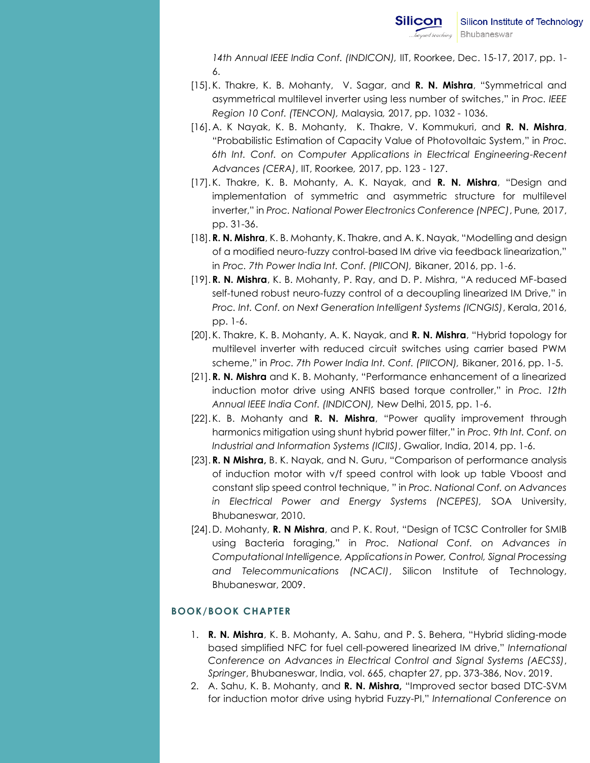*14th Annual IEEE India Conf. (INDICON),* IIT, Roorkee, Dec. 15-17, 2017, pp. 1- 6.

- [15]. K. Thakre, K. B. Mohanty, [V. S](http://ieeexplore.ieee.org/search/searchresult.jsp?searchWithin=%22Authors%22:.QT.Vinayasagar%20Kommukuri.QT.&newsearch=true)agar, and **R. N. Mishra**, "Symmetrical and asymmetrical multilevel inverter using less number of switches," in *Proc. IEEE Region 10 Conf. (TENCON),* Malaysia*,* 2017, pp. 1032 - 1036.
- [16]. A. K Nayak, K. B. Mohanty, K. Thakre, [V. Kommukuri,](http://ieeexplore.ieee.org/search/searchresult.jsp?searchWithin=%22Authors%22:.QT.Vinayasagar%20Kommukuri.QT.&newsearch=true) and **R. N. Mishra**, "Probabilistic Estimation of Capacity Value of Photovoltaic System," in *Proc. 6th Int. Conf. on Computer Applications in Electrical Engineering-Recent Advances (CERA)*, IIT, Roorkee*,* 2017, pp. 123 - 127.
- [17].K. Thakre, K. B. Mohanty, A. K. Nayak, and **R. N. Mishra**, "Design and implementation of symmetric and asymmetric structure for multilevel inverter," in *Proc. National Power Electronics Conference (NPEC)*, Pune*,* 2017, pp. 31-36.
- [18]. **R. N. Mishra**, K. B. Mohanty, K. Thakre, and A. K. Nayak, "Modelling and design of a modified neuro-fuzzy control-based IM drive via feedback linearization," in *Proc. 7th Power India Int. Conf. (PIICON),* Bikaner, 2016, pp. 1-6.
- [19]. **R. N. Mishra**, K. B. Mohanty, P. Ray, and D. P. Mishra, "A reduced MF-based self-tuned robust neuro-fuzzy control of a decoupling linearized IM Drive," in *Proc. [Int. Conf. on Next Generation Intelligent Systems](http://ieeexplore.ieee.org/xpl/mostRecentIssue.jsp?punumber=7836065) (ICNGIS)*, Kerala, 2016, pp. 1-6.
- [20].K. Thakre, K. B. Mohanty, A. K. Nayak, and **R. N. Mishra**, "[Hybrid topology for](http://ieeexplore.ieee.org/document/8077163/)  [multilevel inverter with reduced circuit switches using carrier based PWM](http://ieeexplore.ieee.org/document/8077163/)  [scheme](http://ieeexplore.ieee.org/document/8077163/)," in *Proc. 7th Power India Int. Conf. (PIICON),* Bikaner, 2016, pp. 1-5.
- [21]. **R. N. Mishra** and K. B. Mohanty, "Performance enhancement of a linearized induction motor drive using ANFIS based torque controller," in *Proc. 12th Annual IEEE India Conf. (INDICON),* New Delhi, 2015, pp. 1-6.
- [22].K. B. Mohanty and **R. N. Mishra**, "Power quality improvement through harmonics mitigation using shunt hybrid power filter," in *Proc. 9th Int. Conf. on [Industrial and Information Systems \(ICIIS\)](http://ieeexplore.ieee.org/xpl/mostRecentIssue.jsp?punumber=7020227)*, Gwalior, India, 2014, pp. 1-6.
- [23]. **R. N Mishra,** B. K. Nayak, and N. Guru, "Comparison of performance analysis of induction motor with v/f speed control with look up table Vboost and constant slip speed control technique, " in *Proc. National Conf. on Advances in Electrical Power and Energy Systems (NCEPES),* SOA University, Bhubaneswar, 2010.
- [24].D. Mohanty, **R. N Mishra**, and P. K. Rout, "Design of TCSC Controller for SMIB using Bacteria foraging," in *Proc. National Conf. on Advances in Computational Intelligence, Applications in Power, Control, Signal Processing and Telecommunications (NCACI)*, Silicon Institute of Technology, Bhubaneswar, 2009.

## **BOOK/BOOK CHAPTER**

- 1. **R. N. Mishra**, K. B. Mohanty, A. Sahu, and P. S. Behera, "Hybrid sliding-mode based simplified NFC for fuel cell-powered linearized IM drive," *International Conference on [Advances in Electrical Control and Signal Systems \(AECSS\)](http://ieeexplore.ieee.org/xpl/mostRecentIssue.jsp?punumber=7020227)*, *Springer*, Bhubaneswar, India, vol. 665, chapter 27, pp. 373-386, Nov. 2019.
- 2. A. Sahu, K. B. Mohanty, and **R. N. Mishra,** "Improved sector based DTC-SVM for induction motor drive using hybrid Fuzzy-PI," *International Conference on*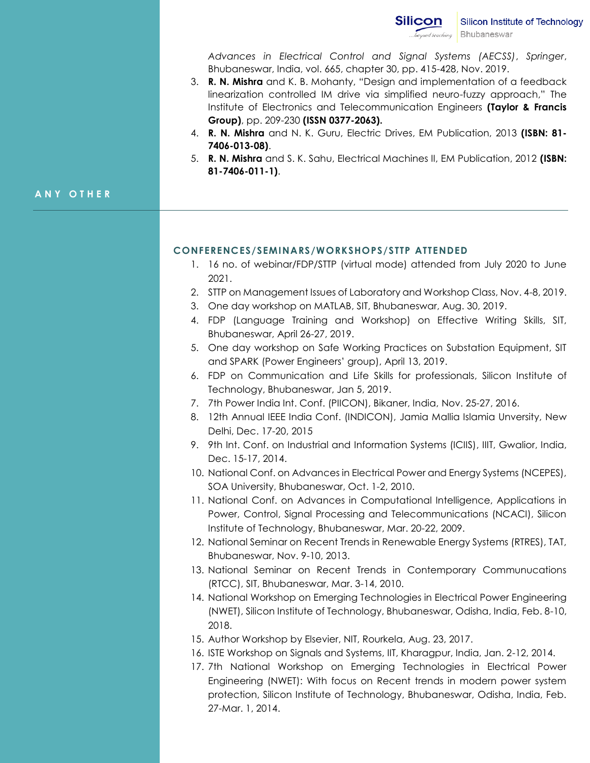

*[Advances in Electrical Control and Signal Systems \(AECSS\)](http://ieeexplore.ieee.org/xpl/mostRecentIssue.jsp?punumber=7020227)*, *Springer*, Bhubaneswar, India, vol. 665, chapter 30, pp. 415-428, Nov. 2019.

- 3. **R. N. Mishra** and K. B. Mohanty, "Design and implementation of a feedback linearization controlled IM drive via simplified neuro-fuzzy approach," The Institute of Electronics and Telecommunication Engineers **(Taylor & Francis Group)**, pp. 209-230 **(ISSN 0377-2063).**
- 4. **R. N. Mishra** and N. K. Guru, Electric Drives, EM Publication, 2013 **(ISBN: 81- 7406-013-08)**.
- 5. **R. N. Mishra** and S. K. Sahu, Electrical Machines II, EM Publication, 2012 **(ISBN: 81-7406-011-1)**.

#### **A N Y O T H E R**

#### **CONFERENCES/SEMINARS/WORKSHOPS/STTP ATTENDED**

- 1. 16 no. of webinar/FDP/STTP (virtual mode) attended from July 2020 to June 2021.
- 2. STTP on Management Issues of Laboratory and Workshop Class, Nov. 4-8, 2019.
- 3. One day workshop on MATLAB, SIT, Bhubaneswar, Aug. 30, 2019.
- 4. FDP (Language Training and Workshop) on Effective Writing Skills, SIT, Bhubaneswar, April 26-27, 2019.
- 5. One day workshop on Safe Working Practices on Substation Equipment, SIT and SPARK (Power Engineers' group), April 13, 2019.
- 6. FDP on Communication and Life Skills for professionals, Silicon Institute of Technology, Bhubaneswar, Jan 5, 2019.
- 7. 7th Power India Int. Conf. (PIICON), Bikaner, India, Nov. 25-27, 2016.
- 8. 12th Annual IEEE India Conf. (INDICON), Jamia Mallia Islamia Unversity, New Delhi, Dec. 17-20, 2015
- 9. 9th Int. Conf. on [Industrial and Information Systems \(ICIIS\),](http://ieeexplore.ieee.org/xpl/mostRecentIssue.jsp?punumber=7020227) IIIT, Gwalior, India, Dec. 15-17, 2014.
- 10. National Conf. on Advances in Electrical Power and Energy Systems (NCEPES), SOA University, Bhubaneswar, Oct. 1-2, 2010.
- 11. National Conf. on Advances in Computational Intelligence, Applications in Power, Control, Signal Processing and Telecommunications (NCACI), Silicon Institute of Technology, Bhubaneswar, Mar. 20-22, 2009.
- 12. National Seminar on Recent Trends in Renewable Energy Systems (RTRES), TAT, Bhubaneswar, Nov. 9-10, 2013.
- 13. National Seminar on Recent Trends in Contemporary Communucations (RTCC), SIT, Bhubaneswar, Mar. 3-14, 2010.
- 14. National Workshop on Emerging Technologies in Electrical Power Engineering (NWET), Silicon Institute of Technology, Bhubaneswar, Odisha, India, Feb. 8-10, 2018.
- 15. Author Workshop by Elsevier, NIT, Rourkela, Aug. 23, 2017.
- 16. ISTE Workshop on Signals and Systems, IIT, Kharagpur, India, Jan. 2-12, 2014.
- 17. 7th National Workshop on Emerging Technologies in Electrical Power Engineering (NWET): With focus on Recent trends in modern power system protection, Silicon Institute of Technology, Bhubaneswar, Odisha, India, Feb. 27-Mar. 1, 2014.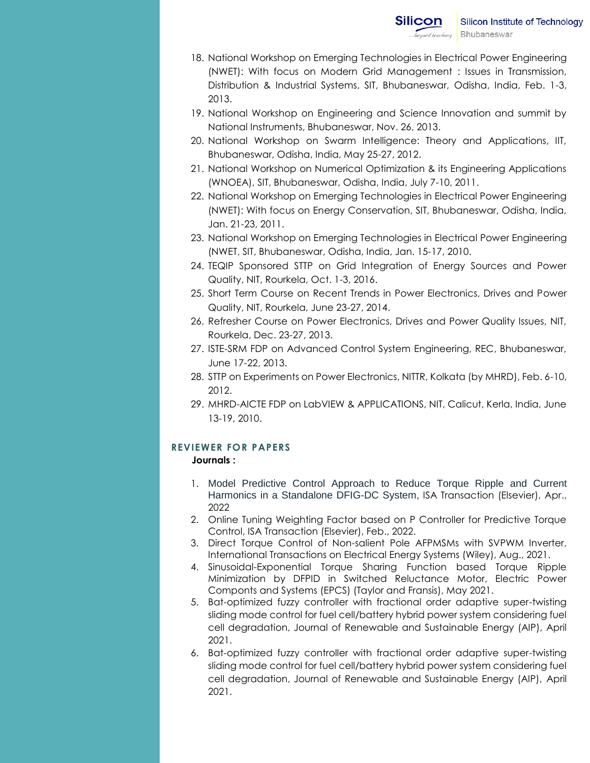- 18. National Workshop on Emerging Technologies in Electrical Power Engineering (NWET): With focus on Modern Grid Management : Issues in Transmission, Distribution & Industrial Systems, SIT, Bhubaneswar, Odisha, India, Feb. 1-3, 2013.
- 19. National Workshop on Engineering and Science Innovation and summit by National Instruments, Bhubaneswar, Nov. 26, 2013.
- 20. National Workshop on Swarm Intelligence: Theory and Applications, IIT, Bhubaneswar, Odisha, India, May 25-27, 2012.
- 21. National Workshop on Numerical Optimization & its Engineering Applications (WNOEA), SIT, Bhubaneswar, Odisha, India, July 7-10, 2011.
- 22. National Workshop on Emerging Technologies in Electrical Power Engineering (NWET): With focus on Energy Conservation, SIT, Bhubaneswar, Odisha, India, Jan. 21-23, 2011.
- 23. National Workshop on Emerging Technologies in Electrical Power Engineering (NWET, SIT, Bhubaneswar, Odisha, India, Jan. 15-17, 2010.
- 24. TEQIP Sponsored STTP on Grid Integration of Energy Sources and Power Quality, NIT, Rourkela, Oct. 1-3, 2016.
- 25. Short Term Course on Recent Trends in Power Electronics, Drives and Power Quality, NIT, Rourkela, June 23-27, 2014.
- 26. Refresher Course on Power Electronics, Drives and Power Quality Issues, NIT, Rourkela, Dec. 23-27, 2013.
- 27. ISTE-SRM FDP on Advanced Control System Engineering, REC, Bhubaneswar, June 17-22, 2013.
- 28. STTP on Experiments on Power Electronics, NITTR, Kolkata (by MHRD), Feb. 6-10, 2012.
- 29. MHRD-AICTE FDP on LabVIEW & APPLICATIONS, NIT, Calicut, Kerla, India, June 13-19, 2010.

## **REVIEWER FOR PAPERS**

#### **Journals :**

- 1. Model Predictive Control Approach to Reduce Torque Ripple and Current Harmonics in a Standalone DFIG-DC System, ISA Transaction (Elsevier), Apr., 2022
- 2. Online Tuning Weighting Factor based on P Controller for Predictive Torque Control, ISA Transaction (Elsevier), Feb., 2022.
- 3. Direct Torque Control of Non-salient Pole AFPMSMs with SVPWM Inverter, International Transactions on Electrical Energy Systems (Wiley), Aug., 2021.
- 4. Sinusoidal-Exponential Torque Sharing Function based Torque Ripple Minimization by DFPID in Switched Reluctance Motor, Electric Power Componts and Systems (EPCS) (Taylor and Fransis), May 2021.
- 5. Bat-optimized fuzzy controller with fractional order adaptive super-twisting sliding mode control for fuel cell/battery hybrid power system considering fuel cell degradation, Journal of Renewable and Sustainable Energy (AIP), April 2021.
- 6. Bat-optimized fuzzy controller with fractional order adaptive super-twisting sliding mode control for fuel cell/battery hybrid power system considering fuel cell degradation, Journal of Renewable and Sustainable Energy (AIP), April 2021.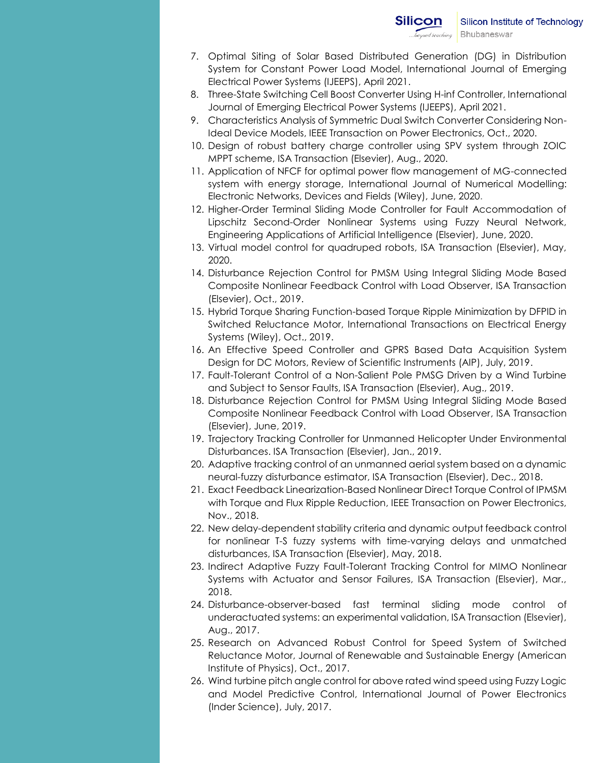- 7. Optimal Siting of Solar Based Distributed Generation (DG) in Distribution System for Constant Power Load Model, International Journal of Emerging Electrical Power Systems (IJEEPS), April 2021.
- 8. Three-State Switching Cell Boost Converter Using H-inf Controller, International Journal of Emerging Electrical Power Systems (IJEEPS), April 2021.
- 9. Characteristics Analysis of Symmetric Dual Switch Converter Considering Non-Ideal Device Models, IEEE Transaction on Power Electronics, Oct., 2020.
- 10. Design of robust battery charge controller using SPV system through ZOIC MPPT scheme, ISA Transaction (Elsevier), Aug., 2020.
- 11. Application of NFCF for optimal power flow management of MG-connected system with energy storage, International Journal of Numerical Modelling: Electronic Networks, Devices and Fields (Wiley), June, 2020.
- 12. Higher-Order Terminal Sliding Mode Controller for Fault Accommodation of Lipschitz Second-Order Nonlinear Systems using Fuzzy Neural Network, Engineering Applications of Artificial Intelligence (Elsevier), June, 2020.
- 13. Virtual model control for quadruped robots, ISA Transaction (Elsevier), May, 2020.
- 14. Disturbance Rejection Control for PMSM Using Integral Sliding Mode Based Composite Nonlinear Feedback Control with Load Observer, ISA Transaction (Elsevier), Oct., 2019.
- 15. Hybrid Torque Sharing Function-based Torque Ripple Minimization by DFPID in Switched Reluctance Motor, International Transactions on Electrical Energy Systems (Wiley), Oct., 2019.
- 16. An Effective Speed Controller and GPRS Based Data Acquisition System Design for DC Motors, Review of Scientific Instruments (AIP), July, 2019.
- 17. Fault-Tolerant Control of a Non-Salient Pole PMSG Driven by a Wind Turbine and Subject to Sensor Faults, ISA Transaction (Elsevier), Aug., 2019.
- 18. Disturbance Rejection Control for PMSM Using Integral Sliding Mode Based Composite Nonlinear Feedback Control with Load Observer, ISA Transaction (Elsevier), June, 2019.
- 19. Trajectory Tracking Controller for Unmanned Helicopter Under Environmental Disturbances. ISA Transaction (Elsevier), Jan., 2019.
- 20. Adaptive tracking control of an unmanned aerial system based on a dynamic neural-fuzzy disturbance estimator, ISA Transaction (Elsevier), Dec., 2018.
- 21. Exact Feedback Linearization-Based Nonlinear Direct Torque Control of IPMSM with Torque and Flux Ripple Reduction, IEEE Transaction on Power Electronics, Nov., 2018.
- 22. New delay-dependent stability criteria and dynamic output feedback control for nonlinear T-S fuzzy systems with time-varying delays and unmatched disturbances, ISA Transaction (Elsevier), May, 2018.
- 23. Indirect Adaptive Fuzzy Fault-Tolerant Tracking Control for MIMO Nonlinear Systems with Actuator and Sensor Failures, ISA Transaction (Elsevier), Mar., 2018.
- 24. Disturbance-observer-based fast terminal sliding mode control of underactuated systems: an experimental validation, ISA Transaction (Elsevier), Aug., 2017.
- 25. Research on Advanced Robust Control for Speed System of Switched Reluctance Motor, Journal of Renewable and Sustainable Energy (American Institute of Physics), Oct., 2017.
- 26. Wind turbine pitch angle control for above rated wind speed using Fuzzy Logic and Model Predictive Control, International Journal of Power Electronics (Inder Science), July, 2017.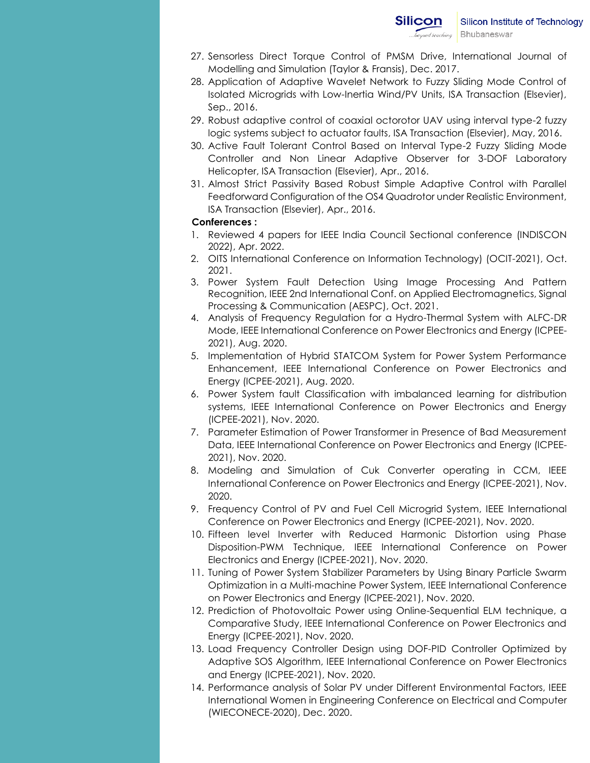- 27. Sensorless Direct Torque Control of PMSM Drive, International Journal of Modelling and Simulation (Taylor & Fransis), Dec. 2017.
- 28. Application of Adaptive Wavelet Network to Fuzzy Sliding Mode Control of Isolated Microgrids with Low-Inertia Wind/PV Units, ISA Transaction (Elsevier), Sep., 2016.
- 29. Robust adaptive control of coaxial octorotor UAV using interval type-2 fuzzy logic systems subject to actuator faults, ISA Transaction (Elsevier), May, 2016.
- 30. Active Fault Tolerant Control Based on Interval Type-2 Fuzzy Sliding Mode Controller and Non Linear Adaptive Observer for 3-DOF Laboratory Helicopter, ISA Transaction (Elsevier), Apr., 2016.
- 31. Almost Strict Passivity Based Robust Simple Adaptive Control with Parallel Feedforward Configuration of the OS4 Quadrotor under Realistic Environment, ISA Transaction (Elsevier), Apr., 2016.

#### **Conferences :**

- 1. Reviewed 4 papers for IEEE India Council Sectional conference (INDISCON 2022), Apr. 2022.
- 2. OITS International Conference on Information Technology) (OCIT-2021), Oct. 2021.
- 3. Power System Fault Detection Using Image Processing And Pattern Recognition, IEEE 2nd International Conf. on Applied Electromagnetics, Signal Processing & Communication (AESPC), Oct. 2021.
- 4. Analysis of Frequency Regulation for a Hydro-Thermal System with ALFC-DR Mode, IEEE International Conference on Power Electronics and Energy (ICPEE-2021), Aug. 2020.
- 5. Implementation of Hybrid STATCOM System for Power System Performance Enhancement, IEEE International Conference on Power Electronics and Energy (ICPEE-2021), Aug. 2020.
- 6. Power System fault Classification with imbalanced learning for distribution systems, IEEE International Conference on Power Electronics and Energy (ICPEE-2021), Nov. 2020.
- 7. Parameter Estimation of Power Transformer in Presence of Bad Measurement Data, IEEE International Conference on Power Electronics and Energy (ICPEE-2021), Nov. 2020.
- 8. Modeling and Simulation of Cuk Converter operating in CCM, IEEE International Conference on Power Electronics and Energy (ICPEE-2021), Nov. 2020.
- 9. Frequency Control of PV and Fuel Cell Microgrid System, IEEE International Conference on Power Electronics and Energy (ICPEE-2021), Nov. 2020.
- 10. Fifteen level Inverter with Reduced Harmonic Distortion using Phase Disposition-PWM Technique, IEEE International Conference on Power Electronics and Energy (ICPEE-2021), Nov. 2020.
- 11. Tuning of Power System Stabilizer Parameters by Using Binary Particle Swarm Optimization in a Multi-machine Power System, IEEE International Conference on Power Electronics and Energy (ICPEE-2021), Nov. 2020.
- 12. Prediction of Photovoltaic Power using Online-Sequential ELM technique, a Comparative Study, IEEE International Conference on Power Electronics and Energy (ICPEE-2021), Nov. 2020.
- 13. Load Frequency Controller Design using DOF-PID Controller Optimized by Adaptive SOS Algorithm, IEEE International Conference on Power Electronics and Energy (ICPEE-2021), Nov. 2020.
- 14. Performance analysis of Solar PV under Different Environmental Factors, IEEE International Women in Engineering Conference on Electrical and Computer (WIECONECE-2020), Dec. 2020.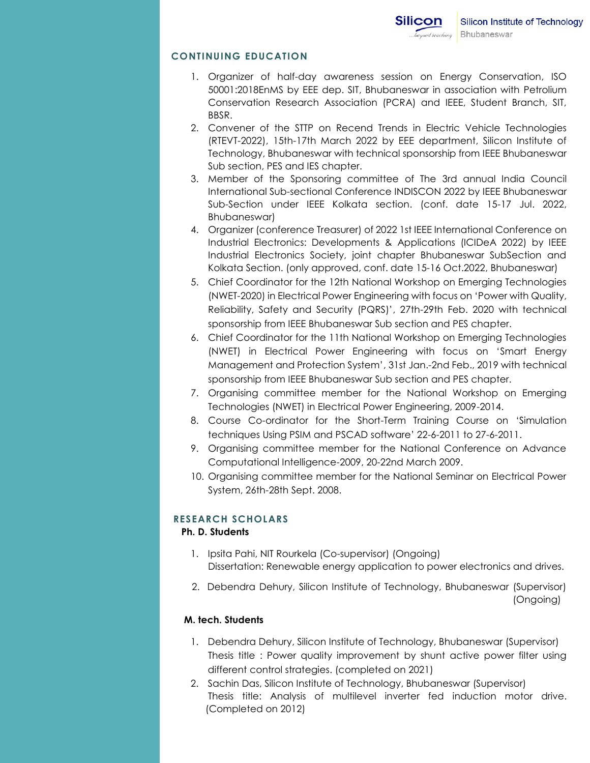### **CONTINUING EDUCATION**

- 1. Organizer of half-day awareness session on Energy Conservation, ISO 50001:2018EnMS by EEE dep. SIT, Bhubaneswar in association with Petrolium Conservation Research Association (PCRA) and IEEE, Student Branch, SIT, BBSR.
- 2. Convener of the STTP on Recend Trends in Electric Vehicle Technologies (RTEVT-2022), 15th-17th March 2022 by EEE department, Silicon Institute of Technology, Bhubaneswar with technical sponsorship from IEEE Bhubaneswar Sub section, PES and IES chapter.
- 3. Member of the Sponsoring committee of The 3rd annual India Council International Sub-sectional Conference INDISCON 2022 by IEEE Bhubaneswar Sub-Section under IEEE Kolkata section. (conf. date 15-17 Jul. 2022, Bhubaneswar)
- 4. Organizer (conference Treasurer) of 2022 1st IEEE International Conference on Industrial Electronics: Developments & Applications (ICIDeA 2022) by IEEE Industrial Electronics Society, joint chapter Bhubaneswar SubSection and Kolkata Section. (only approved, conf. date 15-16 Oct.2022, Bhubaneswar)
- 5. Chief Coordinator for the 12th National Workshop on Emerging Technologies (NWET-2020) in Electrical Power Engineering with focus on 'Power with Quality, Reliability, Safety and Security (PQRS)', 27th-29th Feb. 2020 with technical sponsorship from IEEE Bhubaneswar Sub section and PES chapter.
- 6. Chief Coordinator for the 11th National Workshop on Emerging Technologies (NWET) in Electrical Power Engineering with focus on 'Smart Energy Management and Protection System', 31st Jan.-2nd Feb., 2019 with technical sponsorship from IEEE Bhubaneswar Sub section and PES chapter.
- 7. Organising committee member for the National Workshop on Emerging Technologies (NWET) in Electrical Power Engineering, 2009-2014.
- 8. Course Co-ordinator for the Short-Term Training Course on 'Simulation techniques Using PSIM and PSCAD software' 22-6-2011 to 27-6-2011.
- 9. Organising committee member for the National Conference on Advance Computational Intelligence-2009, 20-22nd March 2009.
- 10. Organising committee member for the National Seminar on Electrical Power System, 26th-28th Sept. 2008.

## **RESEARCH SCHOLARS**

#### **Ph. D. Students**

- 1. Ipsita Pahi, NIT Rourkela (Co-supervisor) (Ongoing) Dissertation: Renewable energy application to power electronics and drives.
- 2. Debendra Dehury, Silicon Institute of Technology, Bhubaneswar (Supervisor) (Ongoing)

#### **M. tech. Students**

- 1. Debendra Dehury, Silicon Institute of Technology, Bhubaneswar (Supervisor) Thesis title : Power quality improvement by shunt active power filter using different control strategies. (completed on 2021)
- 2. Sachin Das, Silicon Institute of Technology, Bhubaneswar (Supervisor) Thesis title: Analysis of multilevel inverter fed induction motor drive. (Completed on 2012)